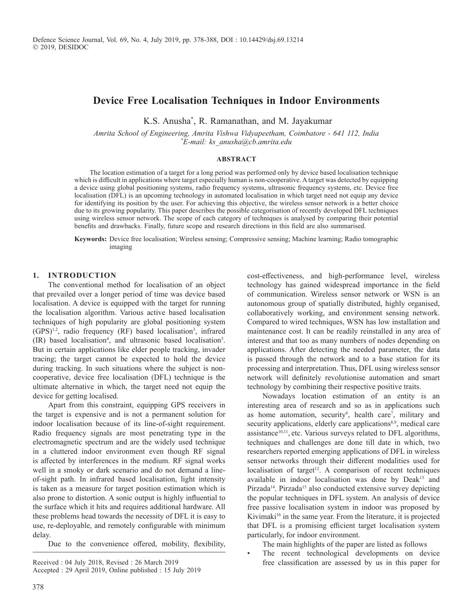# **Device Free Localisation Techniques in Indoor Environments**

K.S. Anusha\* , R. Ramanathan, and M. Jayakumar

*Amrita School of Engineering, Amrita Vishwa Vidyapeetham, Coimbatore - 641 112, India \* E-mail: ks\_anusha@cb.amrita.edu*

#### **Abstract**

The location estimation of a target for a long period was performed only by device based localisation technique which is difficult in applications where target especially human is non-cooperative. A target was detected by equipping a device using global positioning systems, radio frequency systems, ultrasonic frequency systems, etc. Device free localisation (DFL) is an upcoming technology in automated localisation in which target need not equip any device for identifying its position by the user. For achieving this objective, the wireless sensor network is a better choice due to its growing popularity. This paper describes the possible categorisation of recently developed DFL techniques using wireless sensor network. The scope of each category of techniques is analysed by comparing their potential benefits and drawbacks. Finally, future scope and research directions in this field are also summarised.

**Keywords:** Device free localisation; Wireless sensing; Compressive sensing; Machine learning; Radio tomographic imaging

#### **1. Introduction**

The conventional method for localisation of an object that prevailed over a longer period of time was device based localisation. A device is equipped with the target for running the localisation algorithm. Various active based localisation techniques of high popularity are global positioning system (GPS)1,2, radio frequency (RF) based localisation3 , infrared (IR) based localisation4 , and ultrasonic based localisation5 . But in certain applications like elder people tracking, invader tracing; the target cannot be expected to hold the device during tracking. In such situations where the subject is noncooperative, device free localisation (DFL) technique is the ultimate alternative in which, the target need not equip the device for getting localised.

Apart from this constraint, equipping GPS receivers in the target is expensive and is not a permanent solution for indoor localisation because of its line-of-sight requirement. Radio frequency signals are most penetrating type in the electromagnetic spectrum and are the widely used technique in a cluttered indoor environment even though RF signal is affected by interferences in the medium. RF signal works well in a smoky or dark scenario and do not demand a lineof-sight path. In infrared based localisation, light intensity is taken as a measure for target position estimation which is also prone to distortion. A sonic output is highly influential to the surface which it hits and requires additional hardware. All these problems head towards the necessity of DFL it is easy to use, re-deployable, and remotely configurable with minimum delay.

Due to the convenience offered, mobility, flexibility,

Accepted : 29 April 2019, Online published : 15 July 2019

cost-effectiveness, and high-performance level, wireless technology has gained widespread importance in the field of communication. Wireless sensor network or WSN is an autonomous group of spatially distributed, highly organised, collaboratively working, and environment sensing network. Compared to wired techniques, WSN has low installation and maintenance cost. It can be readily reinstalled in any area of interest and that too as many numbers of nodes depending on applications. After detecting the needed parameter, the data is passed through the network and to a base station for its processing and interpretation. Thus, DFL using wireless sensor network will definitely revolutionise automation and smart technology by combining their respective positive traits.

Nowadays location estimation of an entity is an interesting area of research and so as in applications such as home automation, security<sup>6</sup>, health care<sup>7</sup>, military and security applications, elderly care applications<sup>8,9</sup>, medical care assistance<sup>10,11</sup>, etc. Various surveys related to DFL algorithms, techniques and challenges are done till date in which, two researchers reported emerging applications of DFL in wireless sensor networks through their different modalities used for localisation of target<sup>12</sup>. A comparison of recent techniques available in indoor localisation was done by Deak<sup>13</sup> and Pirzada<sup>14</sup>. Pirzada<sup>15</sup> also conducted extensive survey depicting the popular techniques in DFL system. An analysis of device free passive localisation system in indoor was proposed by Kivimaki<sup>16</sup> in the same year. From the literature, it is projected that DFL is a promising efficient target localisation system particularly, for indoor environment.

The main highlights of the paper are listed as follows

The recent technological developments on device Received : 04 July 2018, Revised : 26 March 2019 free classification are assessed by us in this paper for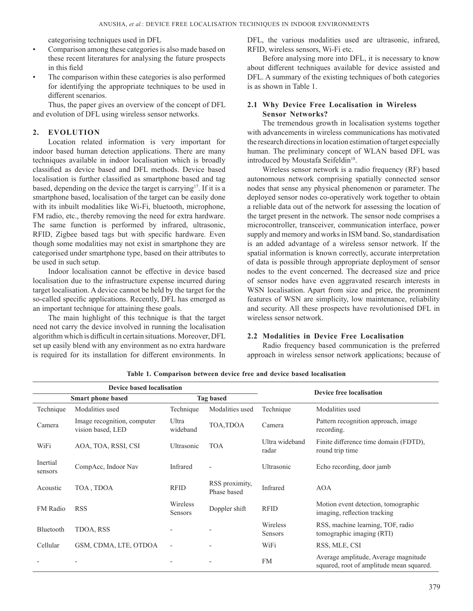categorising techniques used in DFL

- Comparison among these categories is also made based on these recent literatures for analysing the future prospects in this field
- The comparison within these categories is also performed for identifying the appropriate techniques to be used in different scenarios.

Thus, the paper gives an overview of the concept of DFL and evolution of DFL using wireless sensor networks.

#### **2. Evolution**

Location related information is very important for indoor based human detection applications. There are many techniques available in indoor localisation which is broadly classified as device based and DFL methods. Device based localisation is further classified as smartphone based and tag based, depending on the device the target is carrying<sup>17</sup>. If it is a smartphone based, localisation of the target can be easily done with its inbuilt modalities like Wi-Fi, bluetooth, microphone, FM radio, etc., thereby removing the need for extra hardware. The same function is performed by infrared, ultrasonic, RFID, Zigbee based tags but with specific hardware. Even though some modalities may not exist in smartphone they are categorised under smartphone type, based on their attributes to be used in such setup.

Indoor localisation cannot be effective in device based localisation due to the infrastructure expense incurred during target localisation. A device cannot be held by the target for the so-called specific applications. Recently, DFL has emerged as an important technique for attaining these goals.

The main highlight of this technique is that the target need not carry the device involved in running the localisation algorithm which is difficult in certain situations. Moreover, DFL set up easily blend with any environment as no extra hardware is required for its installation for different environments. In

DFL, the various modalities used are ultrasonic, infrared, RFID, wireless sensors, Wi-Fi etc.

Before analysing more into DFL, it is necessary to know about different techniques available for device assisted and DFL. A summary of the existing techniques of both categories is as shown in Table 1.

### **2.1 Why Device Free Localisation in Wireless Sensor Networks?**

The tremendous growth in localisation systems together with advancements in wireless communications has motivated the research directions in location estimation of target especially human. The preliminary concept of WLAN based DFL was introduced by Moustafa Seifeldin<sup>18</sup>.

Wireless sensor network is a radio frequency (RF) based autonomous network comprising spatially connected sensor nodes that sense any physical phenomenon or parameter. The deployed sensor nodes co-operatively work together to obtain a reliable data out of the network for assessing the location of the target present in the network. The sensor node comprises a microcontroller, transceiver, communication interface, power supply and memory and works in ISM band. So, standardisation is an added advantage of a wireless sensor network. If the spatial information is known correctly, accurate interpretation of data is possible through appropriate deployment of sensor nodes to the event concerned. The decreased size and price of sensor nodes have even aggravated research interests in WSN localisation. Apart from size and price, the prominent features of WSN are simplicity, low maintenance, reliability and security. All these prospects have revolutionised DFL in wireless sensor network.

### **2.2 Modalities in Device Free Localisation**

Radio frequency based communication is the preferred approach in wireless sensor network applications; because of

|                                              | <b>Device based localisation</b>                 |                     | <b>Device free localisation</b> |                         |                                                                                  |  |
|----------------------------------------------|--------------------------------------------------|---------------------|---------------------------------|-------------------------|----------------------------------------------------------------------------------|--|
| <b>Tag based</b><br><b>Smart phone based</b> |                                                  |                     |                                 |                         |                                                                                  |  |
| Technique                                    | Modalities used                                  | Technique           | Modalities used                 | Technique               | Modalities used                                                                  |  |
| Camera                                       | Image recognition, computer<br>vision based, LED | Ultra<br>wideband   | TOA, TDOA                       | Camera                  | Pattern recognition approach, image<br>recording.                                |  |
| WiFi                                         | AOA, TOA, RSSI, CSI                              | Ultrasonic          | <b>TOA</b>                      | Ultra wideband<br>radar | Finite difference time domain (FDTD),<br>round trip time                         |  |
| Inertial<br>sensors                          | CompAcc, Indoor Nav                              | Infrared            | $\overline{\phantom{a}}$        | Ultrasonic              | Echo recording, door jamb                                                        |  |
| Acoustic                                     | TOA, TDOA                                        | <b>RFID</b>         | RSS proximity,<br>Phase based   | Infrared                | <b>AOA</b>                                                                       |  |
| FM Radio                                     | <b>RSS</b>                                       | Wireless<br>Sensors | Doppler shift                   | <b>RFID</b>             | Motion event detection, tomographic<br>imaging, reflection tracking              |  |
| Bluetooth                                    | TDOA, RSS                                        |                     |                                 | Wireless<br>Sensors     | RSS, machine learning, TOF, radio<br>tomographic imaging (RTI)                   |  |
| Cellular                                     | GSM, CDMA, LTE, OTDOA                            | $\overline{a}$      |                                 | WiFi                    | RSS, MLE, CSI                                                                    |  |
|                                              |                                                  |                     | $\overline{\phantom{a}}$        | <b>FM</b>               | Average amplitude, Average magnitude<br>squared, root of amplitude mean squared. |  |

**Table 1. Comparison between device free and device based localisation**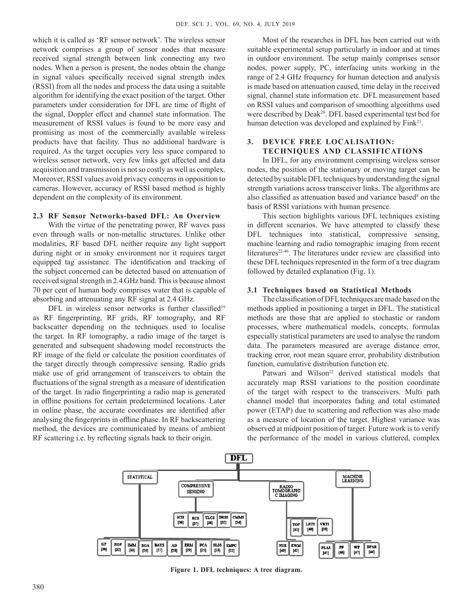which it is called as 'RF sensor network'. The wireless sensor network comprises a group of sensor nodes that measure received signal strength between link connecting any two nodes. When a person is present, the nodes obtain the change in signal values specifically received signal strength index (RSSI) from all the nodes and process the data using a suitable algorithm for identifying the exact position of the target. Other parameters under consideration for DFL are time of flight of the signal, Doppler effect and channel state information. The measurement of RSSI values is found to be more easy and promising as most of the commercially available wireless products have that facility. Thus no additional hardware is required. As the target occupies very less space compared to wireless sensor network, very few links get affected and data acquisition and transmission is not so costly as well as complex. Moreover, RSSI values avoid privacy concerns in opposition to cameras. However, accuracy of RSSI based method is highly dependent on the complexity of its environment.

#### **2.3 RF Sensor Networks-based DFL: An Overview**

With the virtue of the penetrating power, RF waves pass even through walls or non-metallic structures. Unlike other modalities, RF based DFL neither require any light support during night or in smoky environment nor it requires target equipped tag assistance. The identification and tracking of the subject concerned can be detected based on attenuation of received signal strength in 2.4 GHz band. This is because almost 70 per cent of human body comprises water that is capable of absorbing and attenuating any RF signal at 2.4 GHz.

DFL in wireless sensor networks is further classified<sup>19</sup> as RF fingerprinting, RF grids, RF tomography, and RF backscatter depending on the techniques used to localise the target. In RF tomography, a radio image of the target is generated and subsequent shadowing model reconstructs the RF image of the field or calculate the position coordinates of the target directly through compressive sensing. Radio grids make use of grid arrangement of transceivers to obtain the fluctuations of the signal strength as a measure of identification of the target. In radio fingerprinting a radio map is generated in offline positions for certain predetermined locations. Later in online phase, the accurate coordinates are identified after analysing the fingerprints in offline phase. In RF backscattering method, the devices are communicated by means of ambient RF scattering i.e. by reflecting signals back to their origin.

Most of the researches in DFL has been carried out with suitable experimental setup particularly in indoor and at times in outdoor environment. The setup mainly comprises sensor nodes, power supply, PC, interfacing units working in the range of 2.4 GHz frequency for human detection and analysis is made based on attenuation caused, time delay in the received signal, channel state information etc. DFL measurement based on RSSI values and comparison of smoothing algorithms used were described by Deak<sup>20</sup>. DFL based experimental test bed for human detection was developed and explained by Fink<sup>21</sup>.

#### **3. Device Free Localisation: Techniques and Classifications**

In DFL, for any environment comprising wireless sensor nodes, the position of the stationary or moving target can be detected by suitable DFL techniques by understanding the signal strength variations across transceiver links. The algorithms are also classified as attenuation based and variance based<sup>8</sup> on the basis of RSSI variations with human presence.

This section highlights various DFL techniques existing in different scenarios. We have attempted to classify these DFL techniques into statistical, compressive sensing, machine learning and radio tomographic imaging from recent literatures<sup>22-46</sup>. The literatures under review are classified into these DFL techniques represented in the form of a tree diagram followed by detailed explanation (Fig. 1).

#### **3.1 Techniques based on Statistical Methods**

The classification of DFL techniques are made based on the methods applied in positioning a target in DFL. The statistical methods are those that are applied to stochastic or random processes, where mathematical models, concepts, formulas especially statistical parameters are used to analyse the random data. The parameters measured are average distance error, tracking error, root mean square error, probability distribution function, cumulative distribution function etc.

Patwari and Wilson<sup>22</sup> derived statistical models that accurately map RSSI variations to the position coordinate of the target with respect to the transceivers. Multi path channel model that incorporates fading and total estimated power (ETAP) due to scattering and reflection was also made as a measure of location of the target. Highest variance was observed at midpoint position of target. Future work is to verify the performance of the model in various cluttered, complex



**Figure 1. DFL techniques: A tree diagram.**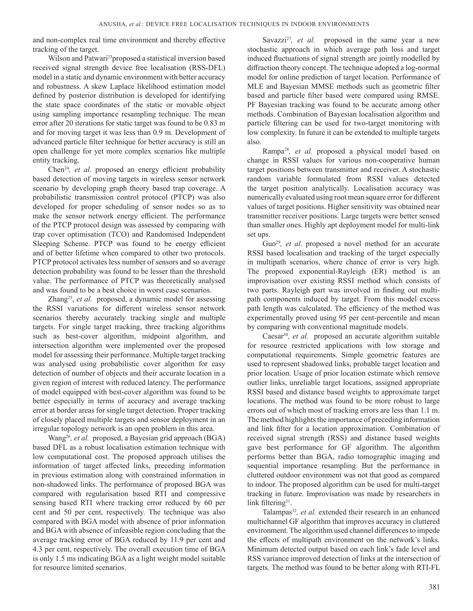and non-complex real time environment and thereby effective tracking of the target.

Wilson and Patwari<sup>23</sup>proposed a statistical inversion based received signal strength device free localisation (RSS-DFL) model in a static and dynamic environment with better accuracy and robustness. A skew Laplace likelihood estimation model defined by posterior distribution is developed for identifying the state space coordinates of the static or movable object using sampling importance resampling technique. The mean error after 20 iterations for static target was found to be 0.83 m and for moving target it was less than 0.9 m. Development of advanced particle filter technique for better accuracy is still an open challenge for yet more complex scenarios like multiple entity tracking.

Chen24*, et al.* proposed an energy efficient probability based detection of moving targets in wireless sensor network scenario by developing graph theory based trap coverage. A probabilistic transmission control protocol (PTCP) was also developed for proper scheduling of sensor nodes so as to make the sensor network energy efficient. The performance of the PTCP protocol design was assessed by comparing with trap cover optimisation (TCO) and Randomised Independent Sleeping Scheme. PTCP was found to be energy efficient and of better lifetime when compared to other two protocols. PTCP protocol activates less number of sensors and so average detection probability was found to be lesser than the threshold value. The performance of PTCP was theoretically analysed and was found to be a best choice in worst case scenarios.

Zhang<sup>25</sup>, et al. proposed, a dynamic model for assessing the RSSI variations for different wireless sensor network scenarios thereby accurately tracking single and multiple targets. For single target tracking, three tracking algorithms such as best-cover algorithm, midpoint algorithm, and intersection algorithm were implemented over the proposed model for assessing their performance. Multiple target tracking was analysed using probabilistic cover algorithm for easy detection of number of objects and their accurate location in a given region of interest with reduced latency. The performance of model equipped with best-cover algorithm was found to be better especially in terms of accuracy and average tracking error at border areas for single target detection. Proper tracking of closely placed multiple targets and sensor deployment in an irregular topology network is an open problem in this area.

Wang26*, et al.* proposed, a Bayesian grid approach (BGA) based DFL as a robust localisation estimation technique with low computational cost. The proposed approach utilises the information of target affected links, preceding information in previous estimation along with constrained information in non-shadowed links. The performance of proposed BGA was compared with regularisation based RTI and compressive sensing based RTI where tracking error reduced by 60 per cent and 50 per cent, respectively. The technique was also compared with BGA model with absence of prior information and BGA with absence of infeasible region concluding that the average tracking error of BGA reduced by 11.9 per cent and 4.3 per cent, respectively. The overall execution time of BGA is only 1.5 ms indicating BGA as a light weight model suitable for resource limited scenarios.

Savazzi<sup>27</sup>, et al. proposed in the same year a new stochastic approach in which average path loss and target induced fluctuations of signal strength are jointly modelled by diffraction theory concept. The technique adopted a log-normal model for online prediction of target location. Performance of MLE and Bayesian MMSE methods such as geometric filter based and particle filter based were compared using RMSE. PF Bayesian tracking was found to be accurate among other methods. Combination of Bayesian localisation algorithm and particle filtering can be used for two-target monitoring with low complexity. In future it can be extended to multiple targets also.

Rampa28*, et al.* proposed a physical model based on change in RSSI values for various non-cooperative human target positions between transmitter and receiver. A stochastic random variable formulated from RSSI values detected the target position analytically. Localisation accuracy was numerically evaluated using root mean square error for different values of target positions. Higher sensitivity was obtained near transmitter receiver positions. Large targets were better sensed than smaller ones. Highly apt deployment model for multi-link set ups.

Guo<sup>29</sup>, et al. proposed a novel method for an accurate RSSI based localisation and tracking of the target especially in multipath scenarios, where chance of error is very high. The proposed exponential-Rayleigh (ER) method is an improvisation over existing RSSI method which consists of two parts. Rayleigh part was involved in finding out multipath components induced by target. From this model excess path length was calculated. The efficiency of the method was experimentally proved using 95 per cent-percentile and mean by comparing with conventional magnitude models.

Caesar<sup>30</sup>, et al. proposed an accurate algorithm suitable for resource restricted applications with low storage and computational requirements. Simple geometric features are used to represent shadowed links, probable target location and prior location. Usage of prior location estimate which remove outlier links, unreliable target locations, assigned appropriate RSSI based and distance based weights to approximate target locations. The method was found to be more robust to large errors out of which most of tracking errors are less than 1.1 m. The method highlights the importance of preceding information and link filter for a location approximation. Combination of received signal strength (RSS) and distance based weights gave best performance for GF algorithm. The algorithm performs better than BGA, radio tomographic imaging and sequential importance resampling. But the performance in cluttered outdoor environment was not that good as compared to indoor. The proposed algorithm can be used for multi-target tracking in future. Improvisation was made by researchers in link filtering $31$ .

Talampas<sup>32</sup>, et al. extended their research in an enhanced multichannel GF algorithm that improves accuracy in cluttered environment. The algorithm used channel differences to impede the effects of multipath environment on the network's links. Minimum detected output based on each link's fade level and RSS variance improved detection of links at the intersection of targets. The method was found to be better along with RTI-FL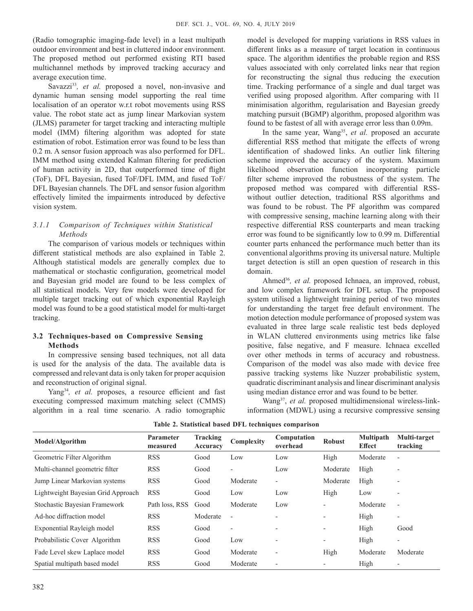(Radio tomographic imaging-fade level) in a least multipath outdoor environment and best in cluttered indoor environment. The proposed method out performed existing RTI based multichannel methods by improved tracking accuracy and average execution time.

Savazzi<sup>33</sup>, et al. proposed a novel, non-invasive and dynamic human sensing model supporting the real time localisation of an operator w.r.t robot movements using RSS value. The robot state act as jump linear Markovian system (JLMS) parameter for target tracking and interacting multiple model (IMM) filtering algorithm was adopted for state estimation of robot. Estimation error was found to be less than 0.2 m. A sensor fusion approach was also performed for DFL. IMM method using extended Kalman filtering for prediction of human activity in 2D, that outperformed time of flight (ToF), DFL Bayesian, fused ToF/DFL IMM, and fused ToF/ DFL Bayesian channels. The DFL and sensor fusion algorithm effectively limited the impairments introduced by defective vision system.

# *3.1.1 Comparison of Techniques within Statistical Methods*

The comparison of various models or techniques within different statistical methods are also explained in Table 2. Although statistical models are generally complex due to mathematical or stochastic configuration, geometrical model and Bayesian grid model are found to be less complex of all statistical models. Very few models were developed for multiple target tracking out of which exponential Rayleigh model was found to be a good statistical model for multi-target tracking.

### **3.2 Techniques-based on Compressive Sensing Methods**

In compressive sensing based techniques, not all data is used for the analysis of the data. The available data is compressed and relevant data is only taken for proper acquision and reconstruction of original signal.

Yang<sup>34</sup>, et al. proposes, a resource efficient and fast executing compressed maximum matching select (CMMS) algorithm in a real time scenario. A radio tomographic

model is developed for mapping variations in RSS values in different links as a measure of target location in continuous space. The algorithm identifies the probable region and RSS values associated with only correlated links near that region for reconstructing the signal thus reducing the execution time. Tracking performance of a single and dual target was verified using proposed algorithm. After comparing with l1 minimisation algorithm, regularisation and Bayesian greedy matching pursuit (BGMP) algorithm, proposed algorithm was found to be fastest of all with average error less than 0.09m.

In the same year, Wang<sup>35</sup>, et al. proposed an accurate differential RSS method that mitigate the effects of wrong identification of shadowed links. An outlier link filtering scheme improved the accuracy of the system. Maximum likelihood observation function incorporating particle filter scheme improved the robustness of the system. The proposed method was compared with differential RSSwithout outlier detection, traditional RSS algorithms and was found to be robust. The PF algorithm was compared with compressive sensing, machine learning along with their respective differential RSS counterparts and mean tracking error was found to be significantly low to 0.99 m. Differential counter parts enhanced the performance much better than its conventional algorithms proving its universal nature. Multiple target detection is still an open question of research in this domain.

Ahmed<sup>36</sup>, et al. proposed Ichnaea, an improved, robust, and low complex framework for DFL setup. The proposed system utilised a lightweight training period of two minutes for understanding the target free default environment. The motion detection module performance of proposed system was evaluated in three large scale realistic test beds deployed in WLAN cluttered environments using metrics like false positive, false negative, and F measure. Ichnaea excelled over other methods in terms of accuracy and robustness. Comparison of the model was also made with device free passive tracking systems like Nuzzer probabilistic system, quadratic discriminant analysis and linear discriminant analysis using median distance error and was found to be better.

Wang<sup>37</sup>, et al. proposed multidimensional wireless-linkinformation (MDWL) using a recursive compressive sensing

| Model/Algorithm                    | <b>Parameter</b><br>measured | Tracking<br>Accuracy | Complexity               | Computation<br>overhead  | <b>Robust</b>            | <b>Multipath</b><br><b>Effect</b> | Multi-target<br>tracking |
|------------------------------------|------------------------------|----------------------|--------------------------|--------------------------|--------------------------|-----------------------------------|--------------------------|
| Geometric Filter Algorithm         | <b>RSS</b>                   | Good                 | Low                      | Low                      | High                     | Moderate                          |                          |
| Multi-channel geometric filter     | <b>RSS</b>                   | Good                 | $\overline{\phantom{a}}$ | Low                      | Moderate                 | High                              |                          |
| Jump Linear Markovian systems      | <b>RSS</b>                   | Good                 | Moderate                 | $\overline{\phantom{a}}$ | Moderate                 | High                              |                          |
| Lightweight Bayesian Grid Approach | <b>RSS</b>                   | Good                 | Low                      | Low                      | High                     | Low                               |                          |
| Stochastic Bayesian Framework      | Path loss, RSS               | Good                 | Moderate                 | Low                      | $\overline{\phantom{0}}$ | Moderate                          | $\overline{\phantom{0}}$ |
| Ad-hoc diffraction model           | <b>RSS</b>                   | Moderate             | $\overline{\phantom{a}}$ |                          | $\overline{\phantom{a}}$ | High                              | $\overline{\phantom{0}}$ |
| Exponential Rayleigh model         | <b>RSS</b>                   | Good                 | $\overline{\phantom{a}}$ | $\overline{\phantom{a}}$ | $\overline{\phantom{a}}$ | High                              | Good                     |
| Probabilistic Cover Algorithm      | <b>RSS</b>                   | Good                 | Low                      | $\overline{a}$           | $\overline{\phantom{a}}$ | High                              | $\overline{\phantom{0}}$ |
| Fade Level skew Laplace model      | <b>RSS</b>                   | Good                 | Moderate                 | $\overline{\phantom{a}}$ | High                     | Moderate                          | Moderate                 |
| Spatial multipath based model      | <b>RSS</b>                   | Good                 | Moderate                 | $\overline{\phantom{a}}$ | $\overline{\phantom{a}}$ | High                              |                          |

**Table 2. Statistical based DFL techniques comparison**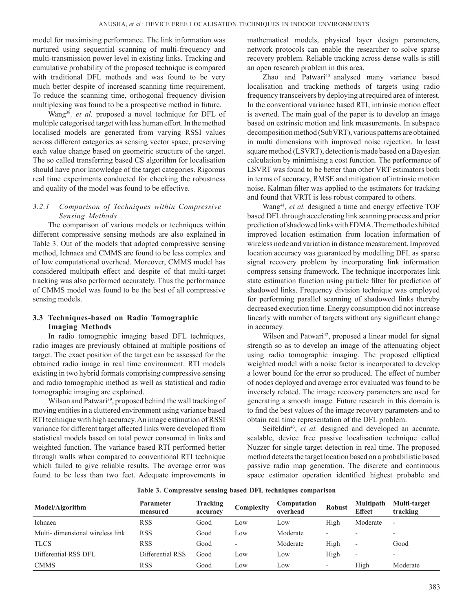model for maximising performance. The link information was nurtured using sequential scanning of multi-frequency and multi-transmission power level in existing links. Tracking and cumulative probability of the proposed technique is compared with traditional DFL methods and was found to be very much better despite of increased scanning time requirement. To reduce the scanning time, orthogonal frequency division multiplexing was found to be a prospective method in future.

Wang38*, et al.* proposed a novel technique for DFL of multiple categorised target with less human effort. In the method localised models are generated from varying RSSI values across different categories as sensing vector space, preserving each value change based on geometric structure of the target. The so called transferring based CS algorithm for localisation should have prior knowledge of the target categories. Rigorous real time experiments conducted for checking the robustness and quality of the model was found to be effective.

### *3.2.1 Comparison of Techniques within Compressive Sensing Methods*

The comparison of various models or techniques within different compressive sensing methods are also explained in Table 3. Out of the models that adopted compressive sensing method, Ichnaea and CMMS are found to be less complex and of low computational overhead. Moreover, CMMS model has considered multipath effect and despite of that multi-target tracking was also performed accurately. Thus the performance of CMMS model was found to be the best of all compressive sensing models.

## **3.3 Techniques-based on Radio Tomographic Imaging Methods**

In radio tomographic imaging based DFL techniques, radio images are previously obtained at multiple positions of target. The exact position of the target can be assessed for the obtained radio image in real time environment. RTI models existing in two hybrid formats comprising compressive sensing and radio tomographic method as well as statistical and radio tomographic imaging are explained.

Wilson and Patwari<sup>39</sup>, proposed behind the wall tracking of moving entities in a cluttered environment using variance based RTI technique with high accuracy. An image estimation of RSSI variance for different target affected links were developed from statistical models based on total power consumed in links and weighted function. The variance based RTI performed better through walls when compared to conventional RTI technique which failed to give reliable results. The average error was found to be less than two feet. Adequate improvements in

mathematical models, physical layer design parameters, network protocols can enable the researcher to solve sparse recovery problem. Reliable tracking across dense walls is still an open research problem in this area.

Zhao and Patwari<sup>40</sup> analysed many variance based localisation and tracking methods of targets using radio frequency transceivers by deploying at required area of interest. In the conventional variance based RTI, intrinsic motion effect is averted. The main goal of the paper is to develop an image based on extrinsic motion and link measurements. In subspace decomposition method (SubVRT), various patterns are obtained in multi dimensions with improved noise rejection. In least square method (LSVRT), detection is made based on a Bayesian calculation by minimising a cost function. The performance of LSVRT was found to be better than other VRT estimators both in terms of accuracy, RMSE and mitigation of intrinsic motion noise. Kalman filter was applied to the estimators for tracking and found that VRTI is less robust compared to others.

Wang<sup>41</sup>, et al. designed a time and energy effective TOF based DFL through accelerating link scanning process and prior prediction of shadowed links with FDMA. The method exhibited improved location estimation from location information of wireless node and variation in distance measurement. Improved location accuracy was guaranteed by modelling DFL as sparse signal recovery problem by incorporating link information compress sensing framework. The technique incorporates link state estimation function using particle filter for prediction of shadowed links. Frequency division technique was employed for performing parallel scanning of shadowed links thereby decreased execution time. Energy consumption did not increase linearly with number of targets without any significant change in accuracy.

Wilson and Patwari<sup>42</sup>, proposed a linear model for signal strength so as to develop an image of the attenuating object using radio tomographic imaging. The proposed elliptical weighted model with a noise factor is incorporated to develop a lower bound for the error so produced. The effect of number of nodes deployed and average error evaluated was found to be inversely related. The image recovery parameters are used for generating a smooth image. Future research in this domain is to find the best values of the image recovery parameters and to obtain real time representation of the DFL problem.

Seifeldin<sup>43</sup>, et al. designed and developed an accurate, scalable, device free passive localisation technique called Nuzzer for single target detection in real time. The proposed method detects the target location based on a probabilistic based passive radio map generation. The discrete and continuous space estimator operation identified highest probable and

**Table 3. Compressive sensing based DFL techniques comparison**

| Model/Algorithm                 | <b>Parameter</b><br>measured | Tracking<br>accuracy | Complexity               | Computation<br>overhead | <b>Robust</b>            | <b>Multipath</b><br><b>Effect</b> | Multi-target<br>tracking |
|---------------------------------|------------------------------|----------------------|--------------------------|-------------------------|--------------------------|-----------------------------------|--------------------------|
| Ichnaea                         | <b>RSS</b>                   | Good                 | Low                      | LOW                     | High                     | Moderate                          | $\overline{\phantom{a}}$ |
| Multi-dimensional wireless link | <b>RSS</b>                   | Good                 | Low                      | Moderate                | $\overline{\phantom{0}}$ | $\overline{\phantom{a}}$          | $\overline{\phantom{0}}$ |
| <b>TLCS</b>                     | <b>RSS</b>                   | Good                 | $\overline{\phantom{0}}$ | Moderate                | High                     | $\overline{\phantom{a}}$          | Good                     |
| Differential RSS DFL            | Differential RSS             | Good                 | Low                      | Low                     | High                     | $\overline{a}$                    | $\overline{\phantom{a}}$ |
| <b>CMMS</b>                     | <b>RSS</b>                   | Good                 | Low                      | Low                     | $\overline{\phantom{a}}$ | High                              | Moderate                 |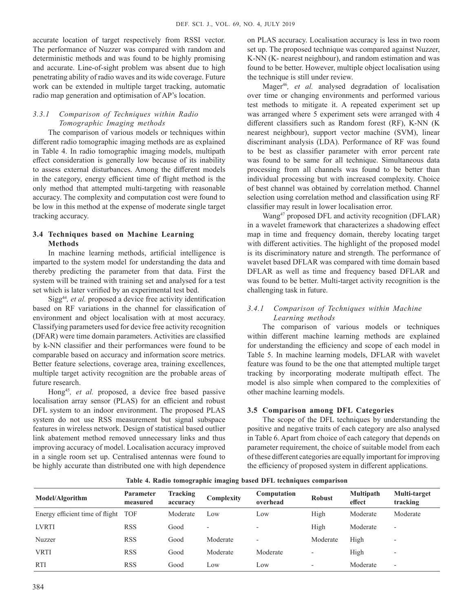accurate location of target respectively from RSSI vector. The performance of Nuzzer was compared with random and deterministic methods and was found to be highly promising and accurate. Line-of-sight problem was absent due to high penetrating ability of radio waves and its wide coverage. Future work can be extended in multiple target tracking, automatic radio map generation and optimisation of AP's location.

# *3.3.1 Comparison of Techniques within Radio Tomographic Imaging methods*

The comparison of various models or techniques within different radio tomographic imaging methods are as explained in Table 4. In radio tomographic imaging models, multipath effect consideration is generally low because of its inability to assess external disturbances. Among the different models in the category, energy efficient time of flight method is the only method that attempted multi-targeting with reasonable accuracy. The complexity and computation cost were found to be low in this method at the expense of moderate single target tracking accuracy.

### **3.4 Techniques based on Machine Learning Methods**

In machine learning methods, artificial intelligence is imparted to the system model for understanding the data and thereby predicting the parameter from that data. First the system will be trained with training set and analysed for a test set which is later verified by an experimental test bed.

Sigg44*, et al.* proposed a device free activity identification based on RF variations in the channel for classification of environment and object localisation with at most accuracy. Classifying parameters used for device free activity recognition (DFAR) were time domain parameters. Activities are classified by k-NN classifier and their performances were found to be comparable based on accuracy and information score metrics. Better feature selections, coverage area, training excellences, multiple target activity recognition are the probable areas of future research.

Hong45*, et al.* proposed, a device free based passive localisation array sensor (PLAS) for an efficient and robust DFL system to an indoor environment. The proposed PLAS system do not use RSS measurement but signal subspace features in wireless network. Design of statistical based outlier link abatement method removed unnecessary links and thus improving accuracy of model. Localisation accuracy improved in a single room set up. Centralised antennas were found to be highly accurate than distributed one with high dependence on PLAS accuracy. Localisation accuracy is less in two room set up. The proposed technique was compared against Nuzzer, K-NN (K- nearest neighbour), and random estimation and was found to be better. However, multiple object localisation using the technique is still under review.

Mager46*, et al.* analysed degradation of localisation over time or changing environments and performed various test methods to mitigate it. A repeated experiment set up was arranged where 5 experiment sets were arranged with 4 different classifiers such as Random forest (RF), K-NN (K nearest neighbour), support vector machine (SVM), linear discriminant analysis (LDA). Performance of RF was found to be best as classifier parameter with error percent rate was found to be same for all technique. Simultaneous data processing from all channels was found to be better than individual processing but with increased complexity. Choice of best channel was obtained by correlation method. Channel selection using correlation method and classification using RF classifier may result in lower localisation error.

Wang47 proposed DFL and activity recognition (DFLAR) in a wavelet framework that characterizes a shadowing effect map in time and frequency domain, thereby locating target with different activities. The highlight of the proposed model is its discriminatory nature and strength. The performance of wavelet based DFLAR was compared with time domain based DFLAR as well as time and frequency based DFLAR and was found to be better. Multi-target activity recognition is the challenging task in future.

### *3.4.1 Comparison of Techniques within Machine Learning methods*

The comparison of various models or techniques within different machine learning methods are explained for understanding the efficiency and scope of each model in Table 5. In machine learning models, DFLAR with wavelet feature was found to be the one that attempted multiple target tracking by incorporating moderate multipath effect. The model is also simple when compared to the complexities of other machine learning models.

#### **3.5 Comparison among DFL Categories**

The scope of the DFL techniques by understanding the positive and negative traits of each category are also analysed in Table 6. Apart from choice of each category that depends on parameter requirement, the choice of suitable model from each of these different categories are equally important for improving the efficiency of proposed system in different applications.

**Table 4. Radio tomographic imaging based DFL techniques comparison**

| Model/Algorithm                 | <b>Parameter</b><br>measured | Tracking<br>accuracy | Complexity               | Computation<br>overhead | <b>Robust</b>            | <b>Multipath</b><br>effect | Multi-target<br>tracking |
|---------------------------------|------------------------------|----------------------|--------------------------|-------------------------|--------------------------|----------------------------|--------------------------|
| Energy efficient time of flight | <b>TOF</b>                   | Moderate             | Low                      | Low                     | High                     | Moderate                   | Moderate                 |
| <b>LVRTI</b>                    | <b>RSS</b>                   | Good                 | $\overline{\phantom{a}}$ |                         | High                     | Moderate                   | $\overline{\phantom{a}}$ |
| Nuzzer                          | <b>RSS</b>                   | Good                 | Moderate                 |                         | Moderate                 | High                       | $\overline{a}$           |
| <b>VRTI</b>                     | <b>RSS</b>                   | Good                 | Moderate                 | Moderate                | $\overline{\phantom{a}}$ | High                       | $\overline{\phantom{a}}$ |
| <b>RTI</b>                      | <b>RSS</b>                   | Good                 | Low                      | Low                     | $\overline{\phantom{0}}$ | Moderate                   | $\overline{\phantom{a}}$ |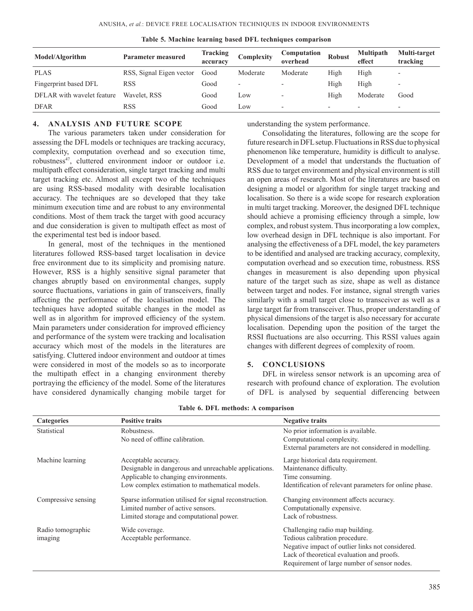| Model/Algorithm            | <b>Parameter measured</b> | Tracking<br>accuracy | Complexity               | Computation<br>overhead  | <b>Robust</b>            | <b>Multipath</b><br>effect | Multi-target<br>tracking |
|----------------------------|---------------------------|----------------------|--------------------------|--------------------------|--------------------------|----------------------------|--------------------------|
| <b>PLAS</b>                | RSS, Signal Eigen vector  | Good                 | Moderate                 | Moderate                 | High                     | High                       | $\overline{\phantom{a}}$ |
| Fingerprint based DFL      | <b>RSS</b>                | Good                 | $\overline{\phantom{a}}$ |                          | High                     | High                       | $\overline{\phantom{0}}$ |
| DFLAR with wavelet feature | Wavelet, RSS              | Good                 | Low                      | $\overline{\phantom{a}}$ | High                     | Moderate                   | Good                     |
| <b>DFAR</b>                | RSS                       | Good                 | Low                      |                          | $\overline{\phantom{0}}$ |                            | $\overline{\phantom{0}}$ |

**Table 5. Machine learning based DFL techniques comparison**

#### **4. Analysis and Future Scope**

The various parameters taken under consideration for assessing the DFL models or techniques are tracking accuracy, complexity, computation overhead and so execution time, robustness<sup>47</sup>, cluttered environment indoor or outdoor i.e. multipath effect consideration, single target tracking and multi target tracking etc. Almost all except two of the techniques are using RSS-based modality with desirable localisation accuracy. The techniques are so developed that they take minimum execution time and are robust to any environmental conditions. Most of them track the target with good accuracy and due consideration is given to multipath effect as most of the experimental test bed is indoor based.

In general, most of the techniques in the mentioned literatures followed RSS-based target localisation in device free environment due to its simplicity and promising nature. However, RSS is a highly sensitive signal parameter that changes abruptly based on environmental changes, supply source fluctuations, variations in gain of transceivers, finally affecting the performance of the localisation model. The techniques have adopted suitable changes in the model as well as in algorithm for improved efficiency of the system. Main parameters under consideration for improved efficiency and performance of the system were tracking and localisation accuracy which most of the models in the literatures are satisfying. Cluttered indoor environment and outdoor at times were considered in most of the models so as to incorporate the multipath effect in a changing environment thereby portraying the efficiency of the model. Some of the literatures have considered dynamically changing mobile target for understanding the system performance.

Consolidating the literatures, following are the scope for future research in DFL setup. Fluctuations in RSS due to physical phenomenon like temperature, humidity is difficult to analyse. Development of a model that understands the fluctuation of RSS due to target environment and physical environment is still an open areas of research. Most of the literatures are based on designing a model or algorithm for single target tracking and localisation. So there is a wide scope for research exploration in multi target tracking. Moreover, the designed DFL technique should achieve a promising efficiency through a simple, low complex, and robust system. Thus incorporating a low complex, low overhead design in DFL technique is also important. For analysing the effectiveness of a DFL model, the key parameters to be identified and analysed are tracking accuracy, complexity, computation overhead and so execution time, robustness. RSS changes in measurement is also depending upon physical nature of the target such as size, shape as well as distance between target and nodes. For instance, signal strength varies similarly with a small target close to transceiver as well as a large target far from transceiver. Thus, proper understanding of physical dimensions of the target is also necessary for accurate localisation. Depending upon the position of the target the RSSI fluctuations are also occurring. This RSSI values again changes with different degrees of complexity of room.

#### **5. Conclusions**

DFL in wireless sensor network is an upcoming area of research with profound chance of exploration. The evolution of DFL is analysed by sequential differencing between

| <b>Categories</b>   | <b>Positive traits</b>                                 | <b>Negative traits</b>                                  |
|---------------------|--------------------------------------------------------|---------------------------------------------------------|
| Statistical         | Robustness.                                            | No prior information is available.                      |
|                     | No need of offline calibration.                        | Computational complexity.                               |
|                     |                                                        | External parameters are not considered in modelling.    |
| Machine learning    | Acceptable accuracy.                                   | Large historical data requirement.                      |
|                     | Designable in dangerous and unreachable applications.  | Maintenance difficulty.                                 |
|                     | Applicable to changing environments.                   | Time consuming.                                         |
|                     | Low complex estimation to mathematical models.         | Identification of relevant parameters for online phase. |
| Compressive sensing | Sparse information utilised for signal reconstruction. | Changing environment affects accuracy.                  |
|                     | Limited number of active sensors.                      | Computationally expensive.                              |
|                     | Limited storage and computational power.               | Lack of robustness.                                     |
| Radio tomographic   | Wide coverage.                                         | Challenging radio map building.                         |
| imaging             | Acceptable performance.                                | Tedious calibration procedure.                          |
|                     |                                                        | Negative impact of outlier links not considered.        |
|                     |                                                        | Lack of theoretical evaluation and proofs.              |
|                     |                                                        | Requirement of large number of sensor nodes.            |

**Table 6. DFL methods: A comparison**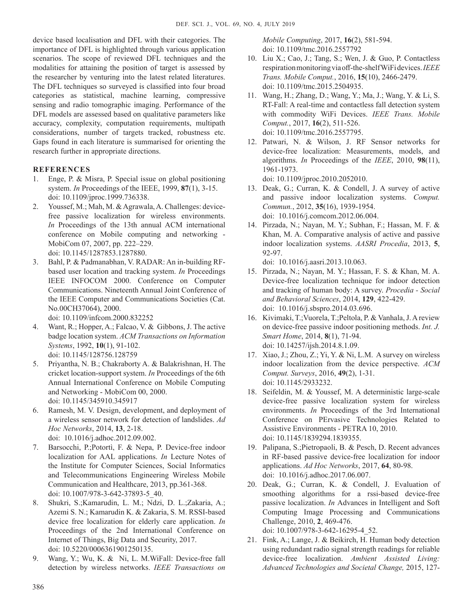device based localisation and DFL with their categories. The importance of DFL is highlighted through various application scenarios. The scope of reviewed DFL techniques and the modalities for attaining the position of target is assessed by the researcher by venturing into the latest related literatures. The DFL techniques so surveyed is classified into four broad categories as statistical, machine learning, compressive sensing and radio tomographic imaging. Performance of the DFL models are assessed based on qualitative parameters like accuracy, complexity, computation requirements, multipath considerations, number of targets tracked, robustness etc. Gaps found in each literature is summarised for orienting the research further in appropriate directions.

# **References**

- 1. Enge, P. & Misra, P. Special issue on global positioning system. *In* Proceedings of the IEEE, 1999, **87**(1), 3-15. doi: 10.1109/jproc.1999.736338.
- 2. Youssef, M.; Mah, M. & Agrawala, A. Challenges: devicefree passive localization for wireless environments. *In* Proceedings of the 13th annual ACM international conference on Mobile computing and networking - MobiCom 07, 2007, pp. 222–229. doi: 10.1145/1287853.1287880.
- 3. Bahl, P. & Padmanabhan, V. RADAR: An in-building RFbased user location and tracking system. *In* Proceedings IEEE INFOCOM 2000. Conference on Computer Communications. Nineteenth Annual Joint Conference of the IEEE Computer and Communications Societies (Cat. No.00CH37064), 2000. doi: 10.1109/infcom.2000.832252
- 4. Want, R.; Hopper, A.; Falcao, V. & Gibbons, J. The active badge location system. *ACM Transactions on Information Systems*, 1992, **10**(1), 91-102. doi: 10.1145/128756.128759
- 5. Priyantha, N. B.; Chakraborty A. & Balakrishnan, H. The cricket location-support system. *In* Proceedings of the 6th Annual International Conference on Mobile Computing and Networking - MobiCom 00, 2000. doi: 10.1145/345910.345917
- 6. Ramesh, M. V. Design, development, and deployment of a wireless sensor network for detection of landslides. *Ad Hoc Networks*, 2014, **13**, 2-18. doi: 10.1016/j.adhoc.2012.09.002.
- 7. Barsocchi, P.;Potortì, F. & Nepa, P. Device-free indoor localization for AAL applications. *In* Lecture Notes of the Institute for Computer Sciences, Social Informatics and Telecommunications Engineering Wireless Mobile Communication and Healthcare, 2013, pp.361-368. doi: 10.1007/978-3-642-37893-5\_40.
- 8. Shukri, S.;Kamarudin, L. M.; Ndzi, D. L.;Zakaria, A.; Azemi S. N.; Kamarudin K. & Zakaria, S. M. RSSI-based device free localization for elderly care application. *In*  Proceedings of the 2nd International Conference on Internet of Things, Big Data and Security, 2017. doi: 10.5220/0006361901250135.
- 9. Wang, Y.; Wu, K. & Ni, L. M.WiFall: Device-free fall detection by wireless networks. *IEEE Transactions on*

*Mobile Computing*, 2017, **16**(2), 581-594. doi: 10.1109/tmc.2016.2557792

- 10. Liu X.; Cao, J.; Tang, S.; Wen, J. & Guo, P. Contactless respiration monitoring via off-the-shelf WiFi devices.*IEEE Trans. Mobile Comput.*, 2016, **15**(10), 2466-2479. doi: 10.1109/tmc.2015.2504935.
- 11. Wang, H.; Zhang, D.; Wang, Y.; Ma, J.; Wang, Y. & Li, S. RT-Fall: A real-time and contactless fall detection system with commodity WiFi Devices. *IEEE Trans. Mobile Comput.*, 2017, **16**(2), 511-526. doi: 10.1109/tmc.2016.2557795.
- 12. Patwari, N. & Wilson, J. RF Sensor networks for device-free localization: Measurements, models, and algorithms. *In* Proceedings of the *IEEE*, 2010, **98**(11), 1961-1973.

doi: 10.1109/jproc.2010.2052010.

- 13. Deak, G.; Curran, K. & Condell, J. A survey of active and passive indoor localization systems. *Comput. Commun.*, 2012, **35**(16), 1939-1954. doi: 10.1016/j.comcom.2012.06.004.
- 14. Pirzada, N.; Nayan, M. Y.; Subhan, F.; Hassan, M. F. & Khan, M. A. Comparative analysis of active and passive indoor localization systems. *AASRI Procedia*, 2013, **5**, 92-97.

doi: 10.1016/j.aasri.2013.10.063.

- 15. Pirzada, N.; Nayan, M. Y.; Hassan, F. S. & Khan, M. A. Device-free localization technique for indoor detection and tracking of human body: A survey. *Procedia - Social and Behavioral Sciences*, 2014, **129**, 422-429. doi: 10.1016/j.sbspro.2014.03.696.
- 16. Kivimaki, T.;Vuorela, T.;Peltola, P. & Vanhala, J. A review on device-free passive indoor positioning methods. *Int. J. Smart Home*, 2014, **8**(1), 71-94. doi: 10.14257/ijsh.2014.8.1.09.
- 17. Xiao, J.; Zhou, Z.; Yi, Y. & Ni, L.M. A survey on wireless indoor localization from the device perspective. *ACM Comput. Surveys*, 2016, **49**(2), 1-31. doi: 10.1145/2933232.
- 18. Seifeldin, M. & Youssef, M. A deterministic large-scale device-free passive localization system for wireless environments. *In* Proceedings of the 3rd International Conference on PErvasive Technologies Related to Assistive Environments - PETRA 10, 2010. doi: 10.1145/1839294.1839355.
- 19. Palipana, S.;Pietropaoli, B. & Pesch, D. Recent advances in RF-based passive device-free localization for indoor applications. *Ad Hoc Networks*, 2017, **64**, 80-98. doi: 10.1016/j.adhoc.2017.06.007.
- 20. Deak, G.; Curran, K. & Condell, J. Evaluation of smoothing algorithms for a rssi-based device-free passive localization. *In* Advances in Intelligent and Soft Computing Image Processing and Communications Challenge, 2010, **2**, 469-476. doi: 10.1007/978-3-642-16295-4\_52.
- 21. Fink, A.; Lange, J. & Beikirch, H. Human body detection using redundant radio signal strength readings for reliable device-free localization. *Ambient Assisted Living: Advanced Technologies and Societal Change,* 2015, 127-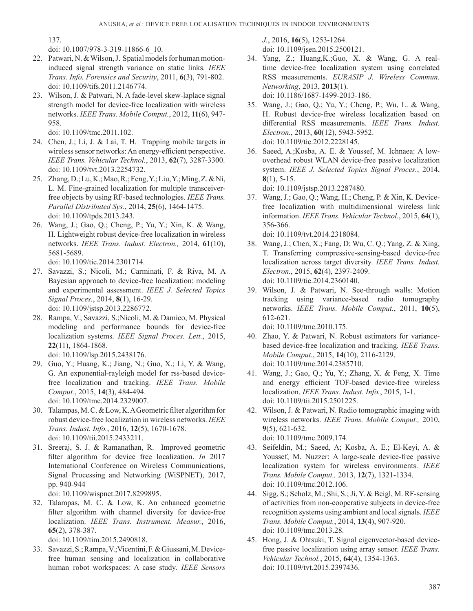137.

doi: 10.1007/978-3-319-11866-6\_10.

- 22. Patwari, N. & Wilson, J. Spatial models for human motioninduced signal strength variance on static links. *IEEE Trans. Info. Forensics and Security*, 2011, **6**(3), 791-802. doi: 10.1109/tifs.2011.2146774.
- 23. Wilson, J. & Patwari, N. A fade-level skew-laplace signal strength model for device-free localization with wireless networks. *IEEE Trans. Mobile Comput.*, 2012, **11**(6), 947- 958.

doi: 10.1109/tmc.2011.102.

- 24. Chen, J.; Li, J. & Lai, T. H. Trapping mobile targets in wireless sensor networks: An energy-efficient perspective. *IEEE Trans. Vehicular Technol.*, 2013, **62**(7), 3287-3300. doi: 10.1109/tvt.2013.2254732.
- 25. Zhang, D.; Lu, K.; Mao, R.; Feng, Y.; Liu, Y.; Ming, Z. & Ni, L. M. Fine-grained localization for multiple transceiverfree objects by using RF-based technologies*. IEEE Trans. Parallel Distributed Sys.*, 2014, **25**(6), 1464-1475. doi: 10.1109/tpds.2013.243.
- 26. Wang, J.; Gao, Q.; Cheng, P.; Yu, Y.; Xin, K. & Wang, H. Lightweight robust device-free localization in wireless networks. *IEEE Trans. Indust. Electron.,* 2014, **61**(10), 5681-5689.

doi: 10.1109/tie.2014.2301714.

- 27. Savazzi, S.; Nicoli, M.; Carminati, F. & Riva, M. A Bayesian approach to device-free localization: modeling and experimental assessment. *IEEE J. Selected Topics Signal Proces.*, 2014, **8**(1), 16-29. doi: 10.1109/jstsp.2013.2286772.
- 28. Rampa, V.; Savazzi, S.;Nicoli, M. & Damico, M. Physical modeling and performance bounds for device-free localization systems. *IEEE Signal Proces. Lett.*, 2015, **22**(11), 1864-1868.

doi: 10.1109/lsp.2015.2438176.

- 29. Guo, Y.; Huang, K.; Jiang, N.; Guo, X.; Li, Y. & Wang, G. An exponential-rayleigh model for rss-based devicefree localization and tracking. *IEEE Trans. Mobile Comput.*, 2015, **14**(3), 484-494. doi: 10.1109/tmc.2014.2329007.
- 30. Talampas, M. C. & Low, K. A Geometric filter algorithm for robust device-free localization in wireless networks. *IEEE Trans. Indust. Info.*, 2016, **12**(5), 1670-1678. doi: 10.1109/tii.2015.2433211.
- 31. Sreeraj, S. J. & Ramanathan, R. Improved geometric filter algorithm for device free localization. *In* 2017 International Conference on Wireless Communications, Signal Processing and Networking (WiSPNET), 2017, pp. 940-944

doi: 10.1109/wispnet.2017.8299895.

32. Talampas, M. C. & Low, K. An enhanced geometric filter algorithm with channel diversity for device-free localization. *IEEE Trans. Instrument. Measur.*, 2016, **65**(2), 378-387.

doi: 10.1109/tim.2015.2490818.

33. Savazzi, S.; Rampa, V.;Vicentini, F. & Giussani, M. Devicefree human sensing and localization in collaborative human–robot workspaces: A case study*. IEEE Sensors*  *J.*, 2016, **16**(5), 1253-1264. doi: 10.1109/jsen.2015.2500121.

- 34. Yang, Z.; Huang,K.;Guo, X. & Wang, G. A realtime device-free localization system using correlated RSS measurements. *EURASIP J. Wireless Commun. Networking*, 2013, **2013**(1). doi: 10.1186/1687-1499-2013-186.
- 35. Wang, J.; Gao, Q.; Yu, Y.; Cheng, P.; Wu, L. & Wang, H. Robust device-free wireless localization based on differential RSS measurements. *IEEE Trans. Indust. Electron.*, 2013, **60**(12), 5943-5952. doi: 10.1109/tie.2012.2228145.
- 36. Saeed, A.;Kosba, A. E. & Youssef, M. Ichnaea: A lowoverhead robust WLAN device-free passive localization system. *IEEE J. Selected Topics Signal Proces.*, 2014, **8**(1), 5-15.

doi: 10.1109/jstsp.2013.2287480.

37. Wang, J.; Gao, Q.; Wang, H.; Cheng, P. & Xin, K. Devicefree localization with multidimensional wireless link information. *IEEE Trans. Vehicular Technol.*, 2015, **64**(1), 356-366.

doi: 10.1109/tvt.2014.2318084.

- 38. Wang, J.; Chen, X.; Fang, D; Wu, C. Q.; Yang, Z. & Xing, T. Transferring compressive-sensing-based device-free localization across target diversity. *IEEE Trans. Indust. Electron.*, 2015, **62**(4), 2397-2409. doi: 10.1109/tie.2014.2360140.
- 39. Wilson, J. & Patwari, N. See-through walls: Motion tracking using variance-based radio tomography networks. *IEEE Trans. Mobile Comput.*, 2011, **10**(5), 612-621.

doi: 10.1109/tmc.2010.175.

- 40. Zhao, Y. & Patwari, N. Robust estimators for variancebased device-free localization and tracking*. IEEE Trans. Mobile Comput.*, 2015, **14**(10), 2116-2129. doi: 10.1109/tmc.2014.2385710.
- 41. Wang, J.; Gao, Q.; Yu, Y.; Zhang, X. & Feng, X. Time and energy efficient TOF-based device-free wireless localization. *IEEE Trans. Indust. Info.*, 2015, 1-1. doi: 10.1109/tii.2015.2501225.
- 42. Wilson, J. & Patwari, N. Radio tomographic imaging with wireless networks. *IEEE Trans. Mobile Comput.,* 2010, **9**(5), 621-632. doi: 10.1109/tmc.2009.174.
- 43. Seifeldin, M.; Saeed, A; Kosba, A. E.; El-Keyi, A. & Youssef, M. Nuzzer: A large-scale device-free passive localization system for wireless environments. *IEEE Trans. Mobile Comput.,* 2013, **12**(7), 1321-1334. doi: 10.1109/tmc.2012.106.
- 44. Sigg, S.; Scholz, M.; Shi, S.; Ji, Y. & Beigl, M. RF-sensing of activities from non-cooperative subjects in device-free recognition systems using ambient and local signals. *IEEE Trans. Mobile Comput.*, 2014, **13**(4), 907-920. doi: 10.1109/tmc.2013.28.
- 45. Hong, J. & Ohtsuki, T. Signal eigenvector-based devicefree passive localization using array sensor. *IEEE Trans. Vehicular Technol.*, 2015, **64**(4), 1354-1363. doi: 10.1109/tvt.2015.2397436.